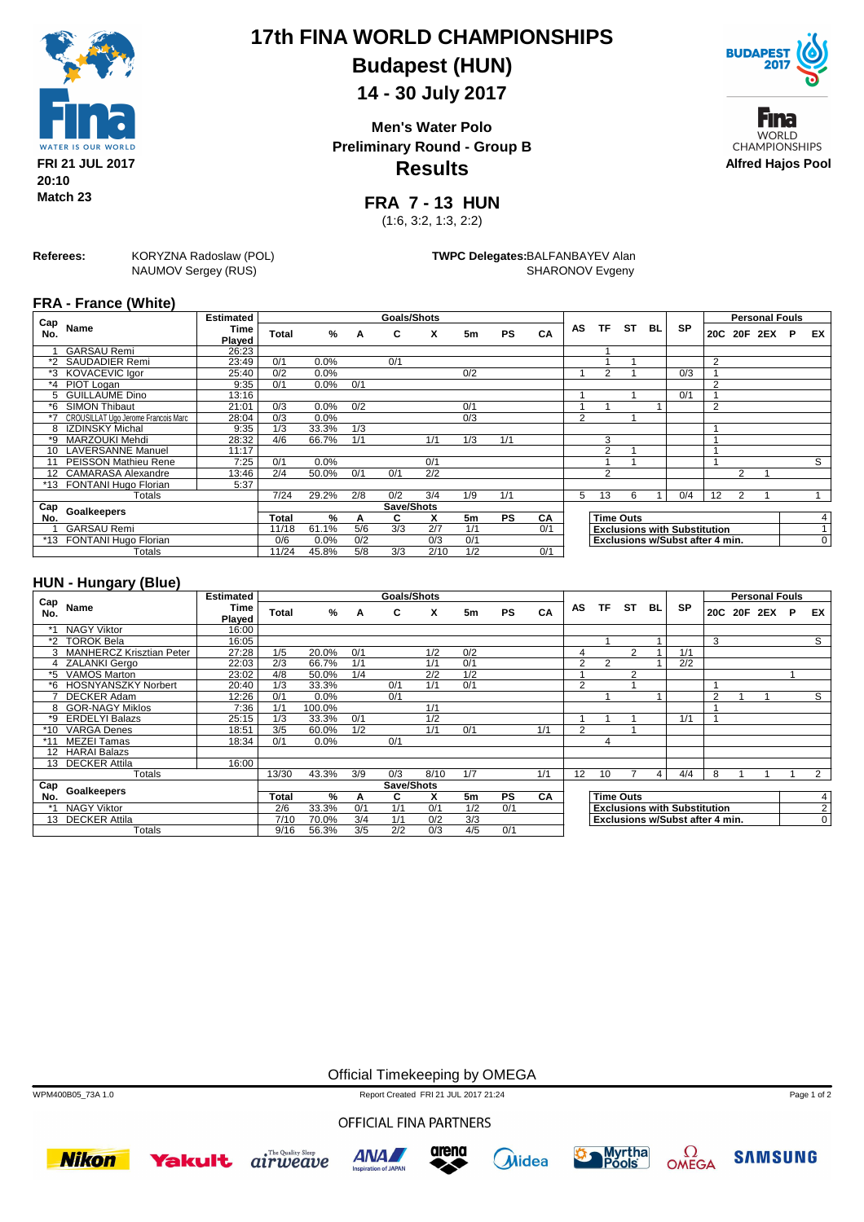

# **17th FINA WORLD CHAMPIONSHIPS Budapest (HUN)**

## **14 - 30 July 2017**

**Results Men's Water Polo Preliminary Round - Group B**



Fına **WORLD CHAMPIONSHIPS Alfred Hajos Pool**

**FRA 7 - 13 HUN**

(1:6, 3:2, 1:3, 2:2)

**Referees:** KORYZNA Radoslaw (POL) NAUMOV Sergey (RUS)

**TWPC Delegates:**BALFANBAYEV Alan SHARONOV Evgeny

#### **FRA - France (White)**

| Cap |                                     | <b>Estimated</b> |       |         |     | <b>Goals/Shots</b> |                  |     |           |     |                |                |                  |    |                                     |                |   | <b>Personal Fouls</b> |   |              |
|-----|-------------------------------------|------------------|-------|---------|-----|--------------------|------------------|-----|-----------|-----|----------------|----------------|------------------|----|-------------------------------------|----------------|---|-----------------------|---|--------------|
| No. | Name                                | Time<br>Plaved   | Total | %       | A   | C                  | x                | 5m  | <b>PS</b> | CA  | AS             | TF             | ST               | BL | <b>SP</b>                           |                |   | 20C 20F 2EX           | P | EX.          |
|     | <b>GARSAU Remi</b>                  | 26:23            |       |         |     |                    |                  |     |           |     |                |                |                  |    |                                     |                |   |                       |   |              |
|     | *2 SAUDADIER Remi                   | 23:49            | 0/1   | 0.0%    |     | 0/1                |                  |     |           |     |                |                |                  |    |                                     | $\overline{2}$ |   |                       |   |              |
|     | *3 KOVACEVIC Igor                   | 25:40            | 0/2   | 0.0%    |     |                    |                  | 0/2 |           |     |                | 2              |                  |    | 0/3                                 |                |   |                       |   |              |
|     | *4 PIOT Logan                       | 9:35             | 0/1   | $0.0\%$ | 0/1 |                    |                  |     |           |     |                |                |                  |    |                                     | $\overline{2}$ |   |                       |   |              |
| 5   | <b>GUILLAUME Dino</b>               | 13:16            |       |         |     |                    |                  |     |           |     |                |                |                  |    | 0/1                                 |                |   |                       |   |              |
| *6  | <b>SIMON Thibaut</b>                | 21:01            | 0/3   | 0.0%    | 0/2 |                    |                  | 0/1 |           |     |                |                |                  |    |                                     | $\overline{2}$ |   |                       |   |              |
|     | CROUSILLAT Ugo Jerome Francois Marc | 28:04            | 0/3   | 0.0%    |     |                    |                  | 0/3 |           |     | $\overline{2}$ |                |                  |    |                                     |                |   |                       |   |              |
| 8   | IZDINSKY Michal                     | 9:35             | 1/3   | 33.3%   | 1/3 |                    |                  |     |           |     |                |                |                  |    |                                     |                |   |                       |   |              |
| *9  | <b>MARZOUKI Mehdi</b>               | 28:32            | 4/6   | 66.7%   | 1/1 |                    | 1/1              | 1/3 | 1/1       |     |                | 3              |                  |    |                                     |                |   |                       |   |              |
| 10  | <b>LAVERSANNE Manuel</b>            | 11:17            |       |         |     |                    |                  |     |           |     |                | 2              |                  |    |                                     |                |   |                       |   |              |
|     | PEISSON Mathieu Rene                | 7:25             | 0/1   | 0.0%    |     |                    | 0/1              |     |           |     |                |                |                  |    |                                     |                |   |                       |   | S            |
|     | 12 CAMARASA Alexandre               | 13:46            | 2/4   | 50.0%   | 0/1 | 0/1                | $\overline{2/2}$ |     |           |     |                | $\overline{2}$ |                  |    |                                     |                | 2 |                       |   |              |
|     | *13 FONTANI Hugo Florian            | 5:37             |       |         |     |                    |                  |     |           |     |                |                |                  |    |                                     |                |   |                       |   |              |
|     | Totals                              |                  | 7/24  | 29.2%   | 2/8 | 0/2                | 3/4              | 1/9 | 1/1       |     | 5              | 13             | 6                |    | 0/4                                 | 12             | 2 |                       |   |              |
| Cap | <b>Goalkeepers</b>                  |                  |       |         |     | Save/Shots         |                  |     |           |     |                |                |                  |    |                                     |                |   |                       |   |              |
| No. |                                     |                  | Total | %       | A   | C                  | x                | 5m  | <b>PS</b> | CA  |                |                | <b>Time Outs</b> |    |                                     |                |   |                       |   | 4            |
|     | <b>GARSAU Remi</b>                  |                  | 11/18 | 61.1%   | 5/6 | 3/3                | 2/7              | 1/1 |           | 0/1 |                |                |                  |    | <b>Exclusions with Substitution</b> |                |   |                       |   | $\mathbf{1}$ |
| *13 | FONTANI Hugo Florian                |                  | 0/6   | 0.0%    | 0/2 |                    | 0/3              | 0/1 |           |     |                |                |                  |    | Exclusions w/Subst after 4 min.     |                |   |                       |   | 0            |
|     | Totals                              |                  | 11/24 | 45.8%   | 5/8 | 3/3                | 2/10             | 1/2 |           | 0/1 |                |                |                  |    |                                     |                |   |                       |   |              |

### **HUN - Hungary (Blue)**

|            |                            | <b>Estimated</b> |       |        |     | Goals/Shots |      |     |           |     |                |               |                  |    |                                     |                | <b>Personal Fouls</b> |   |                |
|------------|----------------------------|------------------|-------|--------|-----|-------------|------|-----|-----------|-----|----------------|---------------|------------------|----|-------------------------------------|----------------|-----------------------|---|----------------|
| Cap<br>No. | Name                       | Time             | Total | %      | A   | C           | x    | 5m  | <b>PS</b> | CA  | AS             | ΤF            | <b>ST</b>        | BL | <b>SP</b>                           |                | 20C 20F 2EX           | P | EX             |
|            |                            | Played           |       |        |     |             |      |     |           |     |                |               |                  |    |                                     |                |                       |   |                |
|            | <b>NAGY Viktor</b>         | 16:00            |       |        |     |             |      |     |           |     |                |               |                  |    |                                     |                |                       |   |                |
| $*2$       | <b>TOROK Bela</b>          | 16:05            |       |        |     |             |      |     |           |     |                |               |                  |    |                                     | 3              |                       |   | S              |
|            | 3 MANHERCZ Krisztian Peter | 27:28            | 1/5   | 20.0%  | 0/1 |             | 1/2  | 0/2 |           |     |                |               | $\overline{2}$   |    | 1/1                                 |                |                       |   |                |
|            | 4 ZALANKI Gergo            | 22:03            | 2/3   | 66.7%  | 1/1 |             | 1/1  | 0/1 |           |     | 2              | $\mathcal{P}$ |                  |    | 2/2                                 |                |                       |   |                |
| *5         | <b>VAMOS Marton</b>        | 23:02            | 4/8   | 50.0%  | 1/4 |             | 2/2  | 1/2 |           |     |                |               | 2                |    |                                     |                |                       |   |                |
| *6         | <b>HOSNYANSZKY Norbert</b> | 20:40            | 1/3   | 33.3%  |     | 0/1         | 1/1  | 0/1 |           |     | C              |               |                  |    |                                     |                |                       |   |                |
|            | <b>DECKER Adam</b>         | 12:26            | 0/1   | 0.0%   |     | 0/1         |      |     |           |     |                |               |                  |    |                                     | $\overline{2}$ |                       |   | S              |
| 8          | <b>GOR-NAGY Miklos</b>     | 7:36             | 1/1   | 100.0% |     |             | 1/1  |     |           |     |                |               |                  |    |                                     |                |                       |   |                |
| *9         | <b>ERDELYI Balazs</b>      | 25:15            | 1/3   | 33.3%  | 0/1 |             | 1/2  |     |           |     |                |               |                  |    | 1/1                                 |                |                       |   |                |
| $*10$      | <b>VARGA Denes</b>         | 18:51            | 3/5   | 60.0%  | 1/2 |             | 1/1  | 0/1 |           | 1/1 | $\overline{2}$ |               |                  |    |                                     |                |                       |   |                |
|            | <b>MEZEI Tamas</b>         | 18:34            | 0/1   | 0.0%   |     | 0/1         |      |     |           |     |                | 4             |                  |    |                                     |                |                       |   |                |
| 12         | <b>HARAI Balazs</b>        |                  |       |        |     |             |      |     |           |     |                |               |                  |    |                                     |                |                       |   |                |
| 13         | <b>DECKER Attila</b>       | 16:00            |       |        |     |             |      |     |           |     |                |               |                  |    |                                     |                |                       |   |                |
|            | Totals                     |                  | 13/30 | 43.3%  | 3/9 | 0/3         | 8/10 | 1/7 |           | 1/1 | 12             | 10            |                  | 4  | 4/4                                 | 8              |                       |   | $\overline{2}$ |
| Cap        |                            |                  |       |        |     | Save/Shots  |      |     |           |     |                |               |                  |    |                                     |                |                       |   |                |
| No.        | <b>Goalkeepers</b>         |                  | Total | %      | A   | C           | x    | 5m  | <b>PS</b> | CA  |                |               | <b>Time Outs</b> |    |                                     |                |                       |   | 4 <sup>1</sup> |
|            | <b>NAGY Viktor</b>         |                  | 2/6   | 33.3%  | 0/1 | 1/1         | 0/1  | 1/2 | 0/1       |     |                |               |                  |    | <b>Exclusions with Substitution</b> |                |                       |   | 2 <sub>1</sub> |
| 13         | <b>DECKER Attila</b>       |                  | 7/10  | 70.0%  | 3/4 | 1/1         | 0/2  | 3/3 |           |     |                |               |                  |    | Exclusions w/Subst after 4 min.     |                |                       |   | $\overline{0}$ |
|            | Totals                     |                  | 9/16  | 56.3%  | 3/5 | 2/2         | 0/3  | 4/5 | 0/1       |     |                |               |                  |    |                                     |                |                       |   |                |

Official Timekeeping by OMEGA

WPM400B05\_73A 1.0 Report Created FRI 21 JUL 2017 21:24

Page 1 of 2

OFFICIAL FINA PARTNERS













**SAMSUNG**